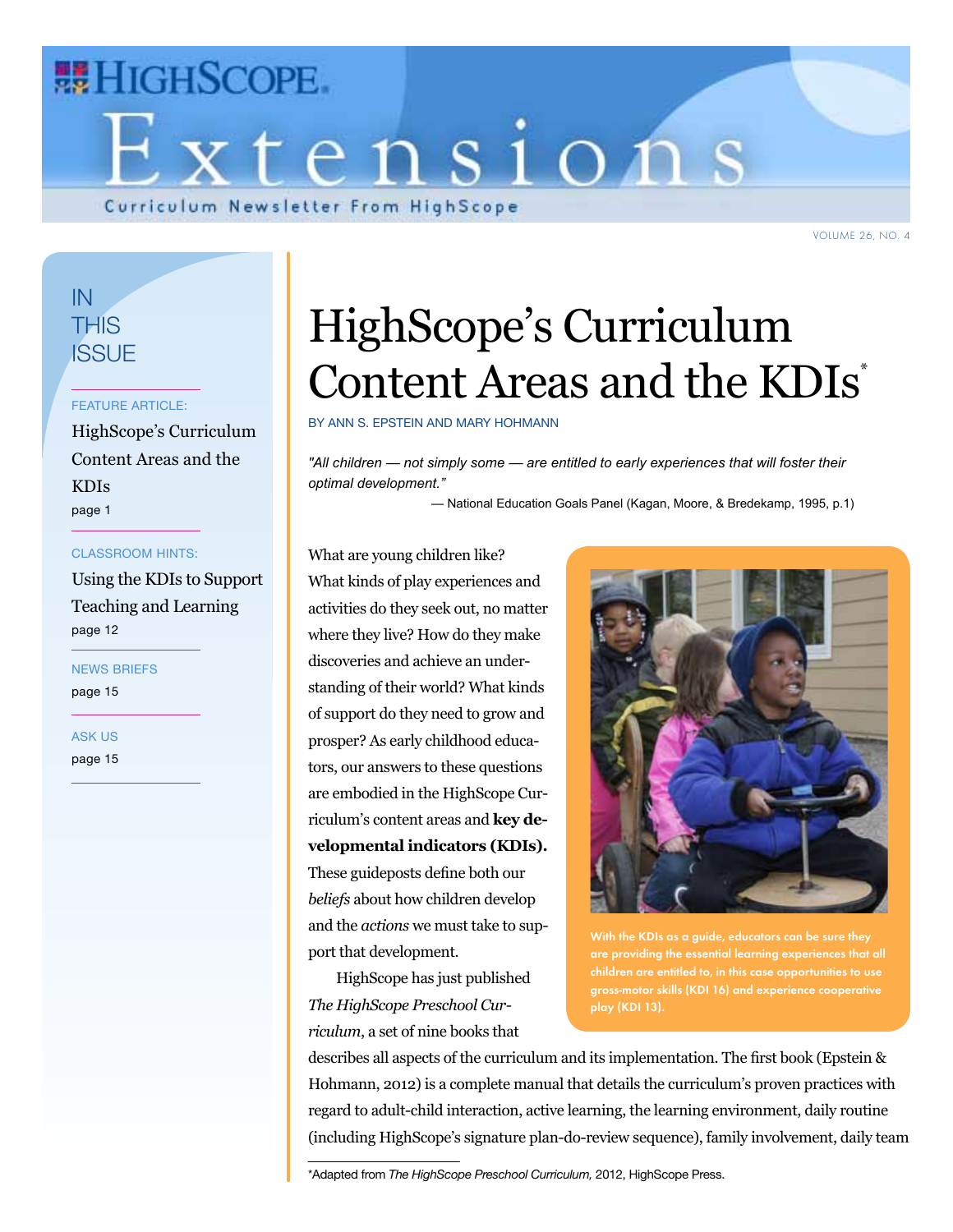

VOLUME 26, NO. 4

### In **THIS ISSUE**

#### FEATURE ARTICLE:

HighScope's Curriculum Content Areas and the KDIs page 1

#### CLASSROOM HINTS:

Using the KDIs to Support Teaching and Learning page 12

NEWS BRIEFS page 15

ASK US

page 15

# HighScope's Curriculum Content Areas and the KDIs<sup>\*</sup>

by Ann S. Epstein and Mary Hohmann

*"All children — not simply some — are entitled to early experiences that will foster their optimal development."*

— National Education Goals Panel (Kagan, Moore, & Bredekamp, 1995, p.1)

What are young children like? What kinds of play experiences and activities do they seek out, no matter where they live? How do they make discoveries and achieve an understanding of their world? What kinds of support do they need to grow and prosper? As early childhood educators, our answers to these questions are embodied in the HighScope Curriculum's content areas and **key developmental indicators (KDIs).** These guideposts define both our *beliefs* about how children develop and the *actions* we must take to support that development.

HighScope has just published *The HighScope Preschool Curriculum*, a set of nine books that



With the KDIs as a guide, educators can be sure they children are entitled to, in this case opportunities to use gross-motor skills (KDI 16) and experience cooperative play (KDI 13).

describes all aspects of the curriculum and its implementation. The first book (Epstein & Hohmann, 2012) is a complete manual that details the curriculum's proven practices with regard to adult-child interaction, active learning, the learning environment, daily routine (including HighScope's signature plan-do-review sequence), family involvement, daily team

\*Adapted from *The HighScope Preschool Curriculum,* 2012, HighScope Press.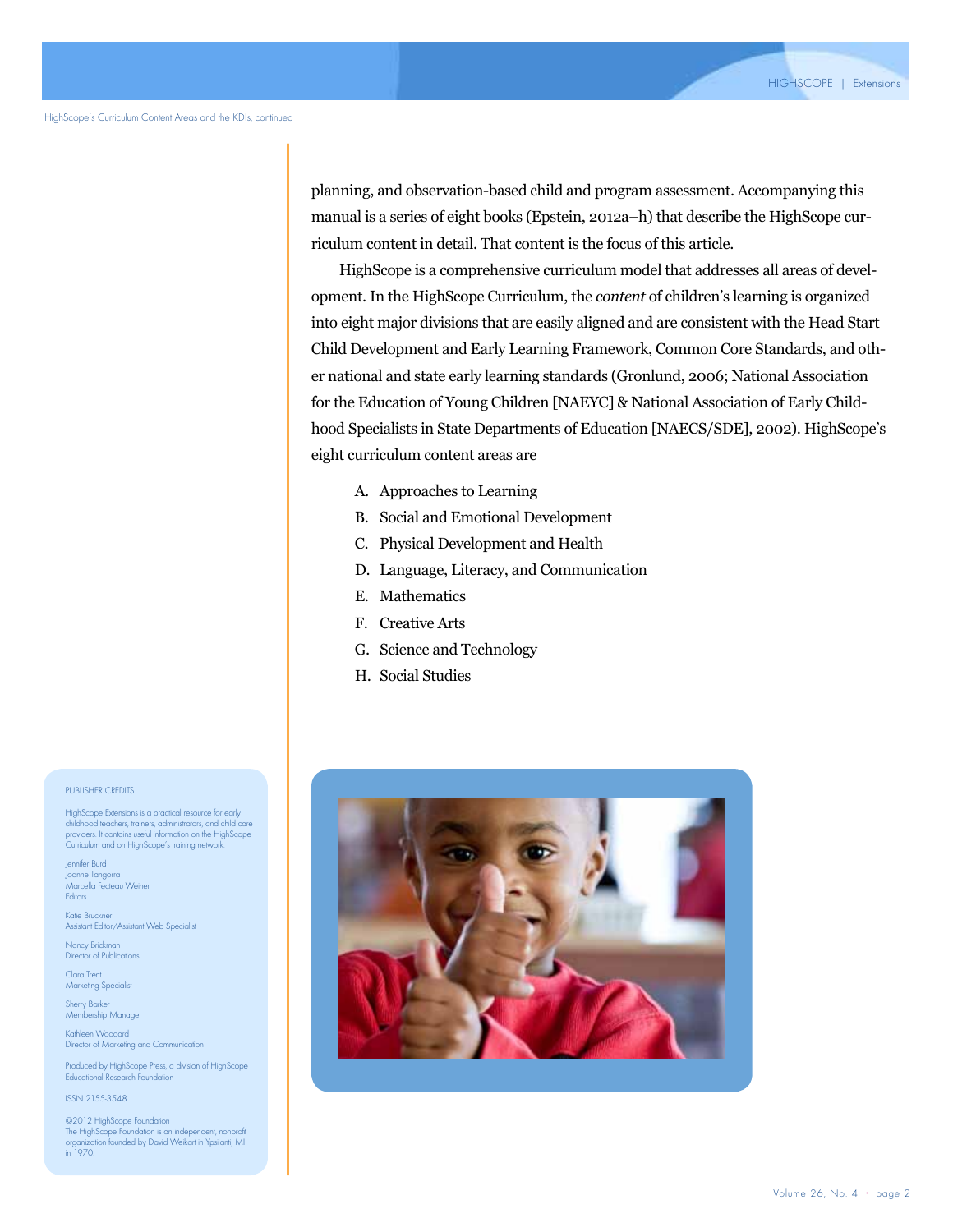planning, and observation-based child and program assessment. Accompanying this manual is a series of eight books (Epstein, 2012a–h) that describe the HighScope curriculum content in detail. That content is the focus of this article.

HighScope is a comprehensive curriculum model that addresses all areas of development. In the HighScope Curriculum, the *content* of children's learning is organized into eight major divisions that are easily aligned and are consistent with the Head Start Child Development and Early Learning Framework, Common Core Standards, and other national and state early learning standards (Gronlund, 2006; National Association for the Education of Young Children [NAEYC] & National Association of Early Childhood Specialists in State Departments of Education [NAECS/SDE], 2002). HighScope's eight curriculum content areas are

- A. Approaches to Learning
- B. Social and Emotional Development
- C. Physical Development and Health
- D. Language, Literacy, and Communication
- E. Mathematics
- F. Creative Arts
- G. Science and Technology
- H. Social Studies



#### PUBLISHER CREDITS

HighScope Extensions is a practical resource for early childhood teachers, trainers, administrators, and child care providers. It contains useful information on the HighScope Curriculum and on HighScope's training network.

Jennifer Burd Joanne Tangorra Marcella Fecteau Weiner **Editors** 

Katie Bruckner Assistant Editor/Assistant Web Specialist

Nancy Brickman Director of Publications

Clara Trent Marketing Specialist

Sherry Barker Membership Manager

Kathleen Woodard Director of Marketing and Communication

Produced by HighScope Press, a division of HighScope Educational Research Foundation

ISSN 2155-3548

©2012 HighScope Foundation The HighScope Foundation is an independent, nonprofit organization founded by David Weikart in Ypsilanti, MI in 1970.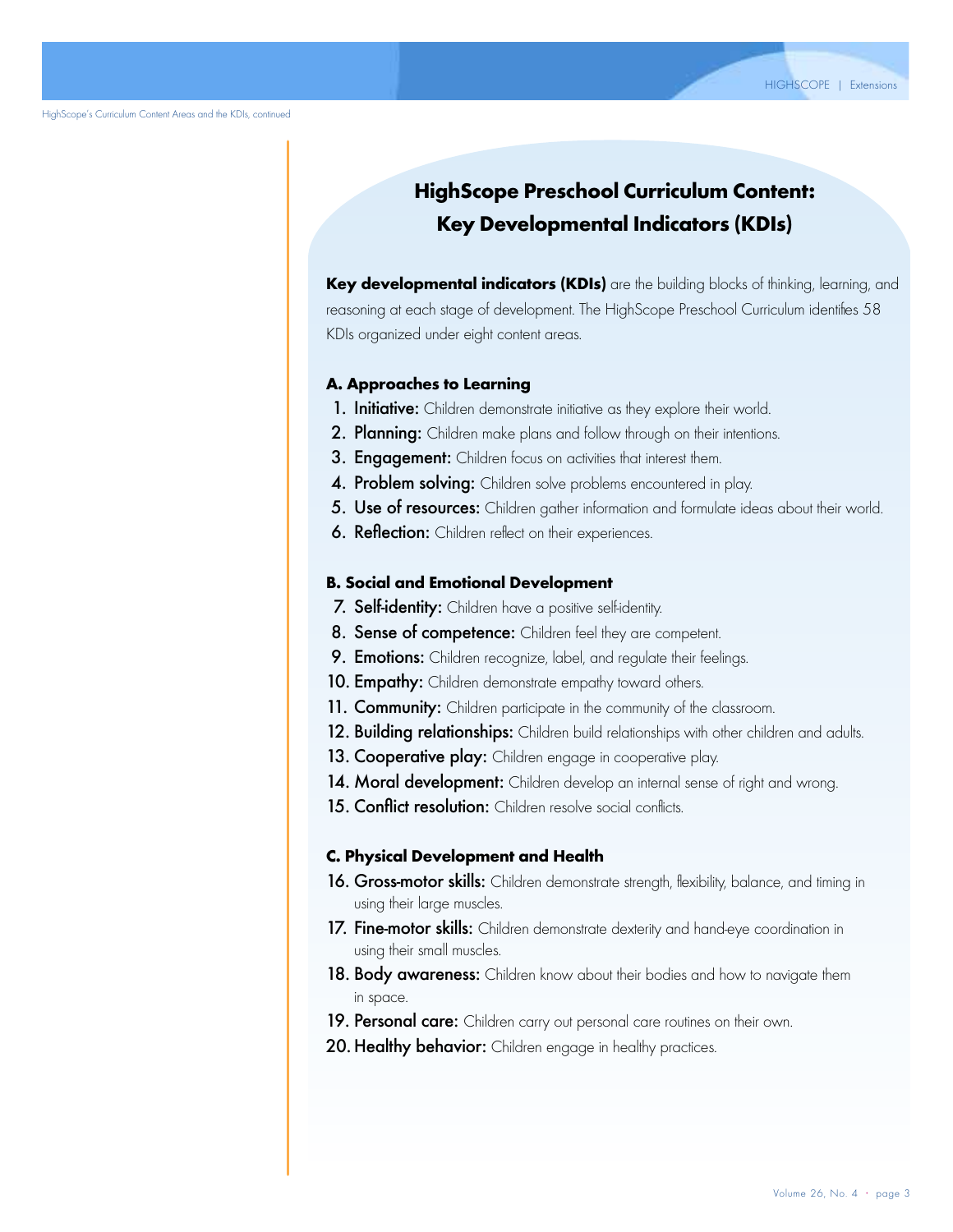### **HighScope Preschool Curriculum Content: Key Developmental Indicators (KDIs)**

Key developmental indicators (KDIs) are the building blocks of thinking, learning, and reasoning at each stage of development. The HighScope Preschool Curriculum identifies 58 KDIs organized under eight content areas.

#### A. Approaches to Learning

- 1. Initiative: Children demonstrate initiative as they explore their world.
- 2. Planning: Children make plans and follow through on their intentions.
- 3. Engagement: Children focus on activities that interest them.
- 4. Problem solving: Children solve problems encountered in play.
- 5. Use of resources: Children gather information and formulate ideas about their world.
- **6. Reflection:** Children reflect on their experiences.

#### B. Social and Emotional Development

- 7. Self-identity: Children have a positive self-identity.
- 8. Sense of competence: Children feel they are competent.
- 9. Emotions: Children recognize, label, and regulate their feelings.
- 10. **Empathy:** Children demonstrate empathy toward others.
- 11. Community: Children participate in the community of the classroom.
- 12. Building relationships: Children build relationships with other children and adults.
- 13. Cooperative play: Children engage in cooperative play.
- 14. Moral development: Children develop an internal sense of right and wrong.
- 15. Conflict resolution: Children resolve social conflicts.

#### C. Physical Development and Health

- 16. Gross-motor skills: Children demonstrate strength, flexibility, balance, and timing in using their large muscles.
- 17. Fine-motor skills: Children demonstrate dexterity and hand-eye coordination in using their small muscles.
- 18. Body awareness: Children know about their bodies and how to navigate them in space.
- **19. Personal care:** Children carry out personal care routines on their own.
- 20. Healthy behavior: Children engage in healthy practices.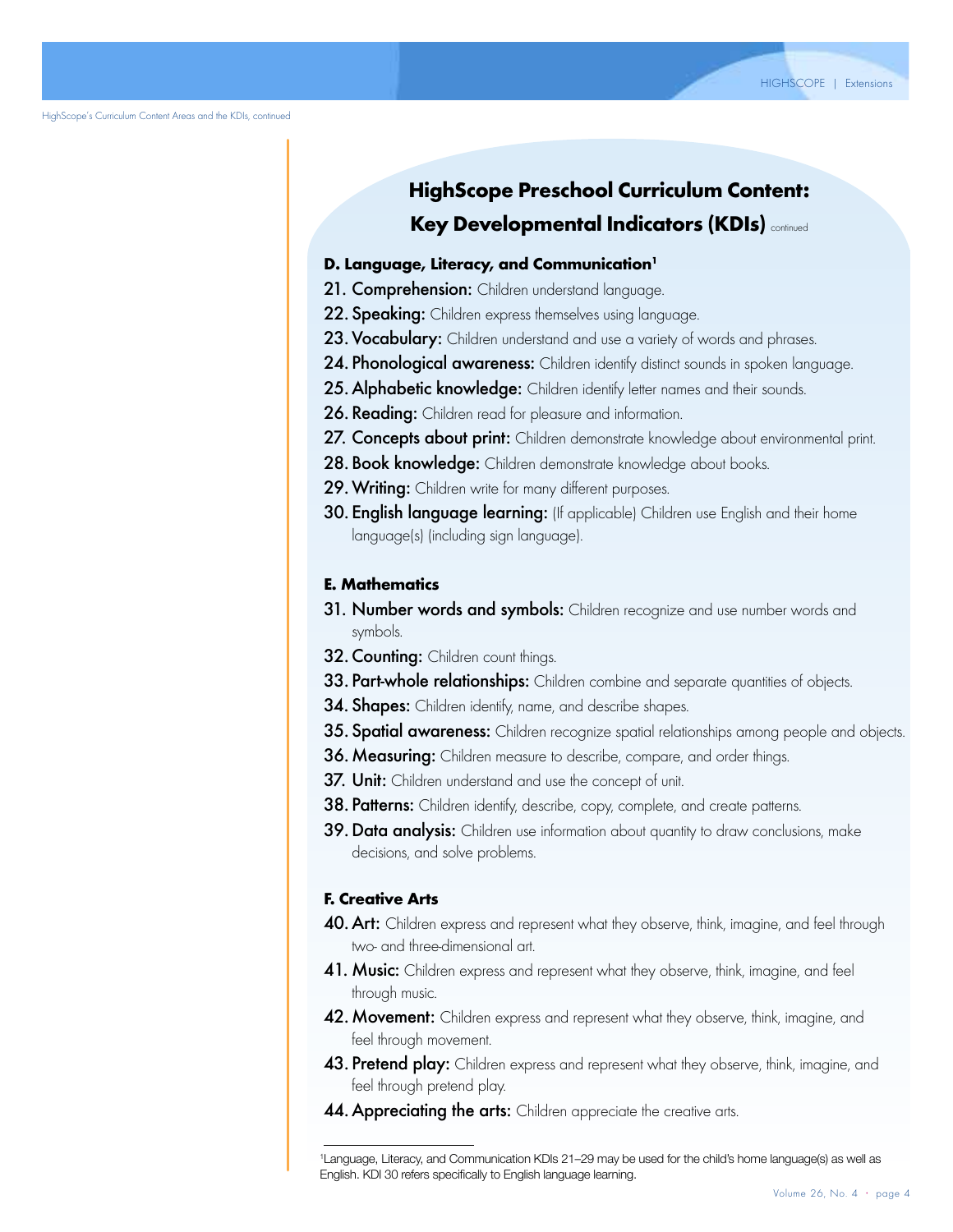HighScope's Curriculum Content Areas and the KDIs, continued

### **HighScope Preschool Curriculum Content: Key Developmental Indicators (KDIs) continued**

#### D. Language, Literacy, and Communication<sup>1</sup>

- 21. Comprehension: Children understand language.
- 22. Speaking: Children express themselves using language.
- 23. Vocabulary: Children understand and use a variety of words and phrases.
- 24. Phonological awareness: Children identify distinct sounds in spoken language.
- 25. Alphabetic knowledge: Children identify letter names and their sounds.
- 26. Reading: Children read for pleasure and information.
- 27. Concepts about print: Children demonstrate knowledge about environmental print.
- 28. Book knowledge: Children demonstrate knowledge about books.
- 29. Writing: Children write for many different purposes.
- 30. English language learning: (If applicable) Children use English and their home language(s) (including sign language).

#### E. Mathematics

- 31. Number words and symbols: Children recognize and use number words and symbols.
- 32. Counting: Children count things.
- 33. Part-whole relationships: Children combine and separate quantities of objects.
- **34. Shapes:** Children identify, name, and describe shapes.
- 35. Spatial awareness: Children recognize spatial relationships among people and objects.
- 36. Measuring: Children measure to describe, compare, and order things.
- 37. Unit: Children understand and use the concept of unit.
- 38. Patterns: Children identify, describe, copy, complete, and create patterns.
- 39. Data analysis: Children use information about quantity to draw conclusions, make decisions, and solve problems.

#### F. Creative Arts

- 40. Art: Children express and represent what they observe, think, imagine, and feel through two- and three-dimensional art.
- 41. Music: Children express and represent what they observe, think, imagine, and feel through music.
- 42. Movement: Children express and represent what they observe, think, imagine, and feel through movement.
- 43. Pretend play: Children express and represent what they observe, think, imagine, and feel through pretend play.
- 44. Appreciating the arts: Children appreciate the creative arts.

Olmsted, P. P., & Montie, J., (Eds.). (2001). Early childhood settings in 15 countries: What are their structural <sup>1</sup> Language, Literacy, and Communication KDIs 21–29 may be used for the child's home language(s) as well as English. KDI 30 refers specifically to English language learning.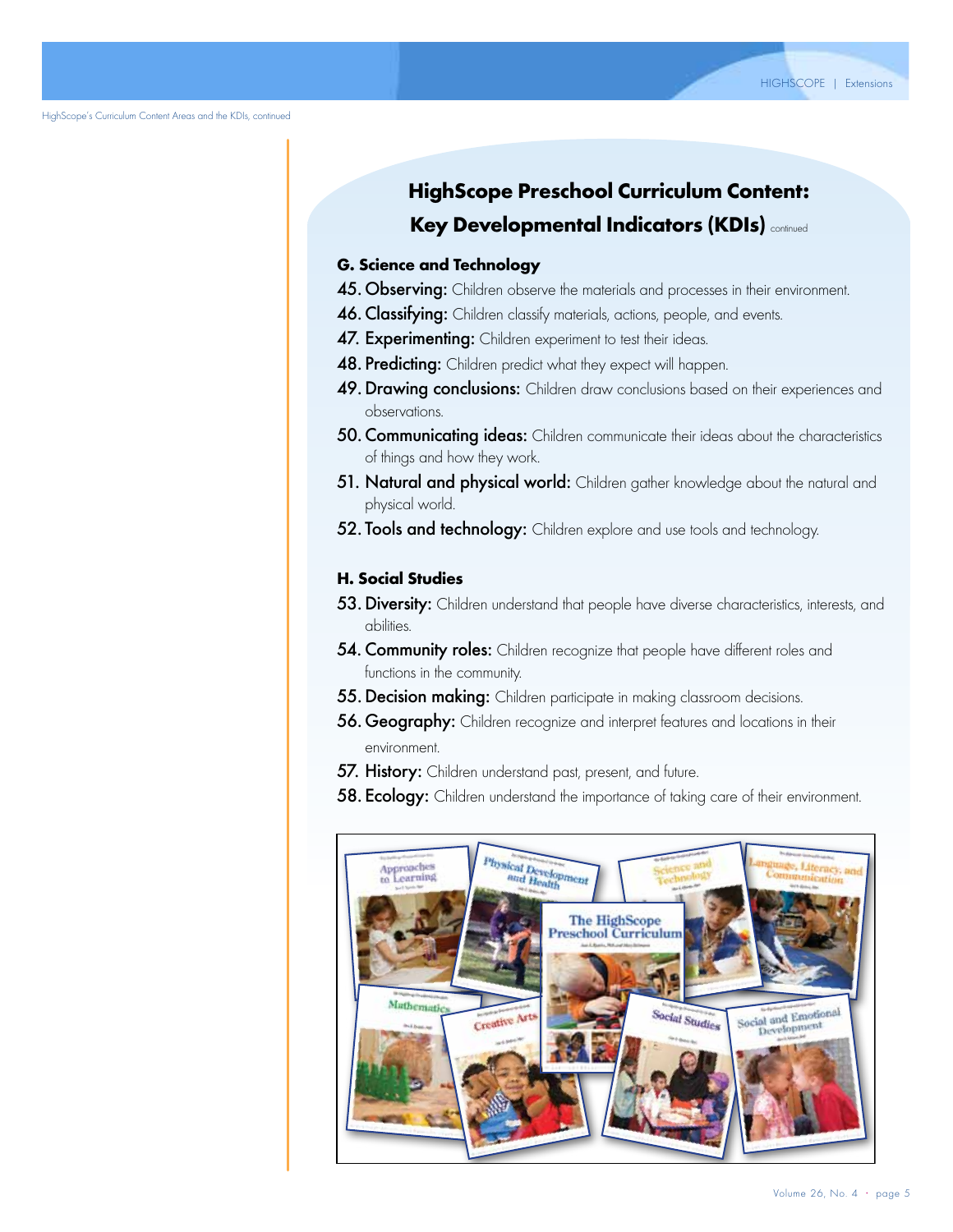HighScope's Curriculum Content Areas and the KDIs, continued

### **HighScope Preschool Curriculum Content: Key Developmental Indicators (KDIs)** continued

### G. Science and Technology

- 45. Observing: Children observe the materials and processes in their environment.
- 46. Classifying: Children classify materials, actions, people, and events.
- 47. Experimenting: Children experiment to test their ideas.
- 48. Predicting: Children predict what they expect will happen.
- 49. Drawing conclusions: Children draw conclusions based on their experiences and observations.
- 50. Communicating ideas: Children communicate their ideas about the characteristics of things and how they work.
- 51. Natural and physical world: Children gather knowledge about the natural and physical world.
- 52. Tools and technology: Children explore and use tools and technology.

#### H. Social Studies

- 53. Diversity: Children understand that people have diverse characteristics, interests, and abilities.
- 54. Community roles: Children recognize that people have different roles and functions in the community.
- 55. Decision making: Children participate in making classroom decisions.
- 56. Geography: Children recognize and interpret features and locations in their environment.
- 57. History: Children understand past, present, and future.
- 58. Ecology: Children understand the importance of taking care of their environment.

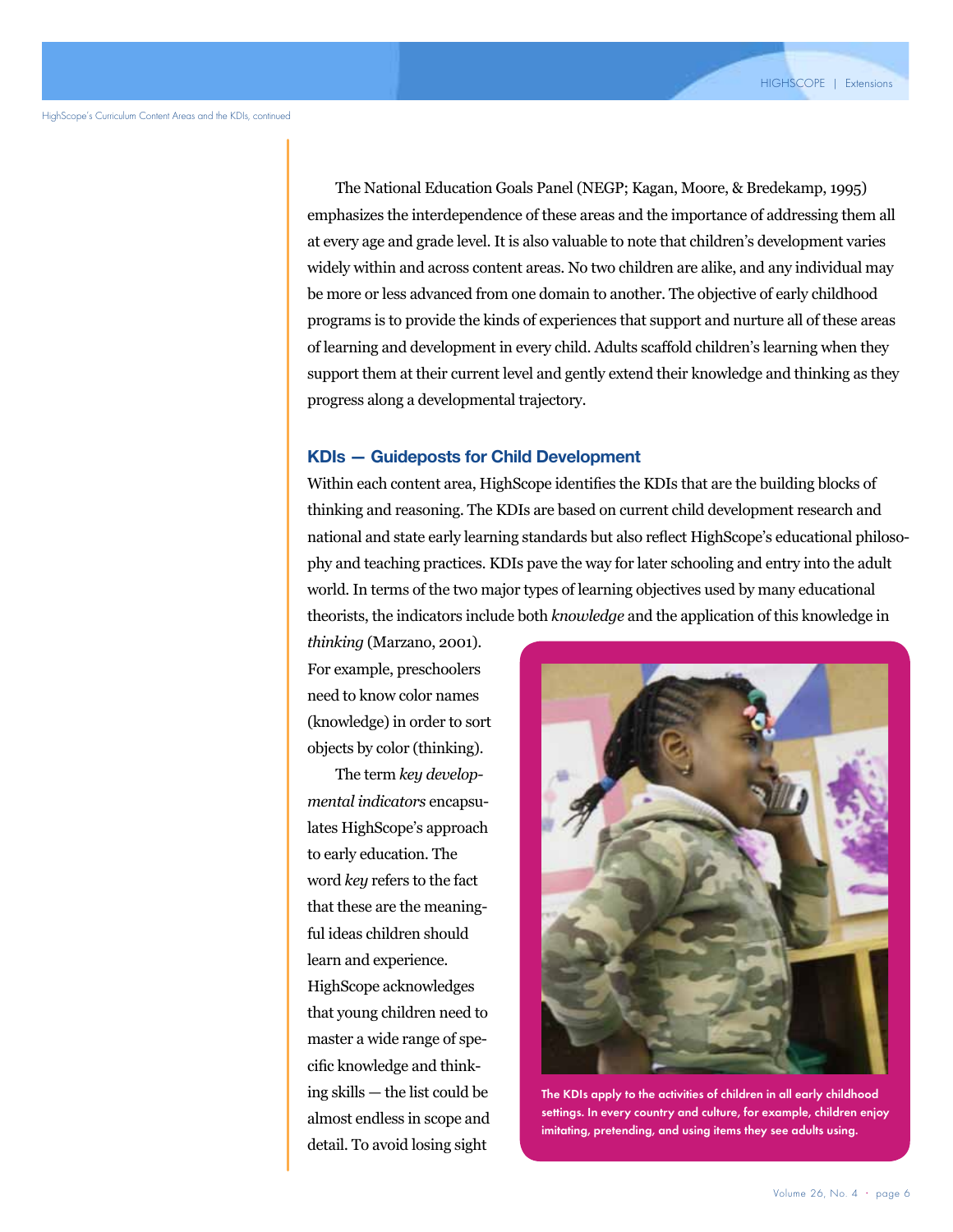The National Education Goals Panel (NEGP; Kagan, Moore, & Bredekamp, 1995) emphasizes the interdependence of these areas and the importance of addressing them all at every age and grade level. It is also valuable to note that children's development varies widely within and across content areas. No two children are alike, and any individual may be more or less advanced from one domain to another. The objective of early childhood programs is to provide the kinds of experiences that support and nurture all of these areas of learning and development in every child. Adults scaffold children's learning when they support them at their current level and gently extend their knowledge and thinking as they progress along a developmental trajectory.

#### **KDIs — Guideposts for Child Development**

Within each content area, HighScope identifies the KDIs that are the building blocks of thinking and reasoning. The KDIs are based on current child development research and national and state early learning standards but also reflect HighScope's educational philosophy and teaching practices. KDIs pave the way for later schooling and entry into the adult world. In terms of the two major types of learning objectives used by many educational theorists, the indicators include both *knowledge* and the application of this knowledge in

*thinking* (Marzano, 2001). For example, preschoolers need to know color names (knowledge) in order to sort objects by color (thinking).

The term *key developmental indicators* encapsulates HighScope's approach to early education. The word *key* refers to the fact that these are the meaningful ideas children should learn and experience. HighScope acknowledges that young children need to master a wide range of specific knowledge and thinking skills — the list could be almost endless in scope and detail. To avoid losing sight



The KDIs apply to the activities of children in all early childhood settings. In every country and culture, for example, children enjoy imitating, pretending, and using items they see adults using.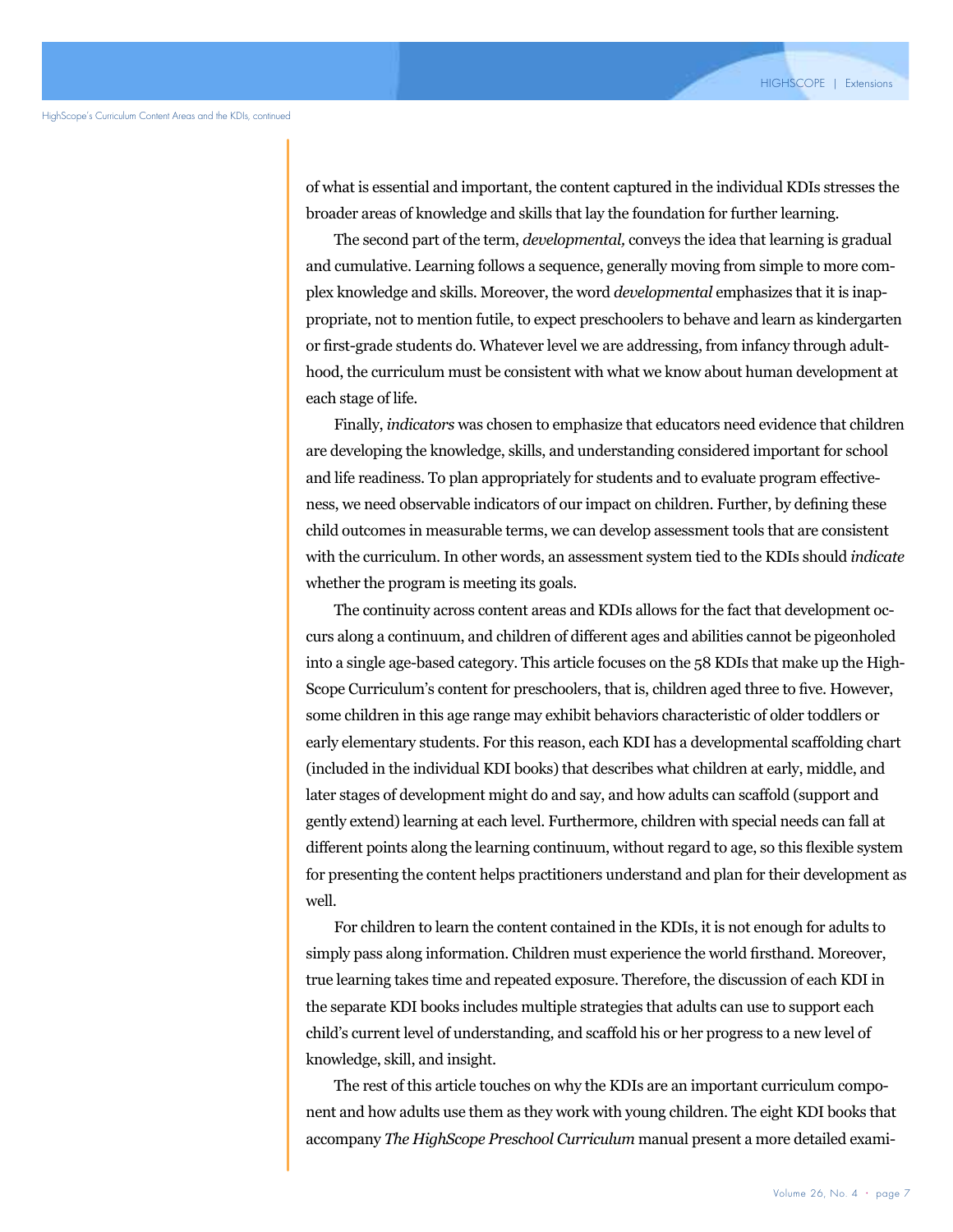of what is essential and important, the content captured in the individual KDIs stresses the broader areas of knowledge and skills that lay the foundation for further learning.

The second part of the term, *developmental,* conveys the idea that learning is gradual and cumulative. Learning follows a sequence, generally moving from simple to more complex knowledge and skills. Moreover, the word *developmental* emphasizes that it is inappropriate, not to mention futile, to expect preschoolers to behave and learn as kindergarten or first-grade students do. Whatever level we are addressing, from infancy through adulthood, the curriculum must be consistent with what we know about human development at each stage of life.

Children's family language and culture contribute in many with the curriculum. In other words, an assessment system tied to the KDIs should *indicate* Finally, *indicators* was chosen to emphasize that educators need evidence that children are developing the knowledge, skills, and understanding considered important for school and life readiness. To plan appropriately for students and to evaluate program effectiveness, we need observable indicators of our impact on children. Further, by defining these child outcomes in measurable terms, we can develop assessment tools that are consistent whether the program is meeting its goals.

The continuity across content areas and KDIs allows for the fact that development occurs along a continuum, and children of different ages and abilities cannot be pigeonholed into a single age-based category. This article focuses on the 58 KDIs that make up the High-Scope Curriculum's content for preschoolers, that is, children aged three to five. However, some children in this age range may exhibit behaviors characteristic of older toddlers or early elementary students. For this reason, each KDI has a developmental scaffolding chart (included in the individual KDI books) that describes what children at early, middle, and later stages of development might do and say, and how adults can scaffold (support and gently extend) learning at each level. Furthermore, children with special needs can fall at different points along the learning continuum, without regard to age, so this flexible system for presenting the content helps practitioners understand and plan for their development as well.

For children to learn the content contained in the KDIs, it is not enough for adults to simply pass along information. Children must experience the world firsthand. Moreover, true learning takes time and repeated exposure. Therefore, the discussion of each KDI in the separate KDI books includes multiple strategies that adults can use to support each child's current level of understanding, and scaffold his or her progress to a new level of knowledge, skill, and insight.

The rest of this article touches on why the KDIs are an important curriculum component and how adults use them as they work with young children. The eight KDI books that accompany *The HighScope Preschool Curriculum* manual present a more detailed exami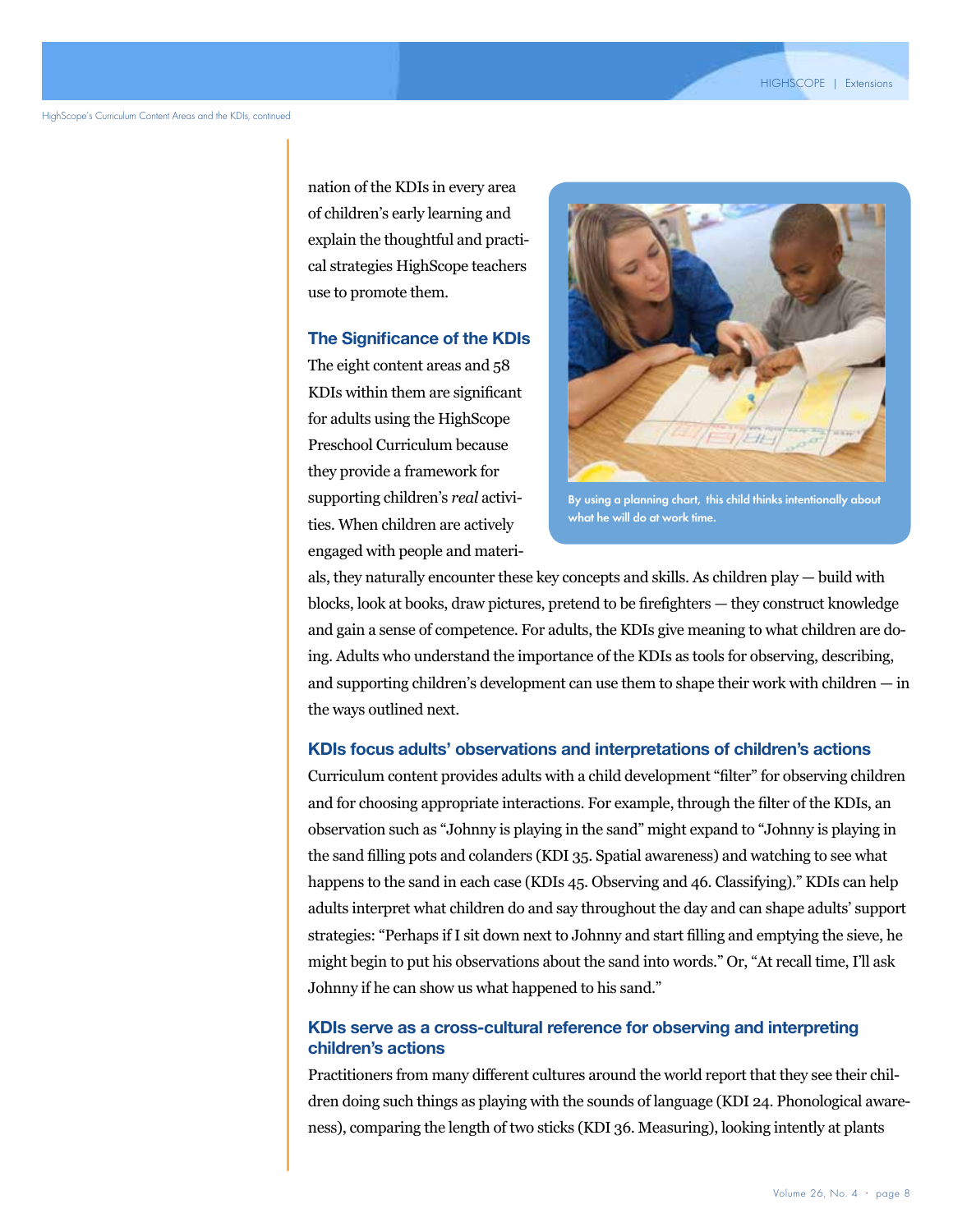nation of the KDIs in every area of children's early learning and explain the thoughtful and practical strategies HighScope teachers use to promote them.

#### **The Significance of the KDIs**

The eight content areas and 58 KDIs within them are significant for adults using the HighScope Preschool Curriculum because they provide a framework for supporting children's *real* activities. When children are actively engaged with people and materi-



By using a planning chart, this child thinks intentionally about what he will do at work time.

als, they naturally encounter these key concepts and skills. As children play — build with blocks, look at books, draw pictures, pretend to be firefighters — they construct knowledge and gain a sense of competence. For adults, the KDIs give meaning to what children are doing. Adults who understand the importance of the KDIs as tools for observing, describing, and supporting children's development can use them to shape their work with children — in the ways outlined next.

#### **KDIs focus adults' observations and interpretations of children's actions**

Curriculum content provides adults with a child development "filter" for observing children and for choosing appropriate interactions. For example, through the filter of the KDIs, an observation such as "Johnny is playing in the sand" might expand to "Johnny is playing in the sand filling pots and colanders (KDI 35. Spatial awareness) and watching to see what happens to the sand in each case (KDIs 45. Observing and 46. Classifying)." KDIs can help adults interpret what children do and say throughout the day and can shape adults' support strategies: "Perhaps if I sit down next to Johnny and start filling and emptying the sieve, he might begin to put his observations about the sand into words." Or, "At recall time, I'll ask Johnny if he can show us what happened to his sand."

#### **KDIs serve as a cross-cultural reference for observing and interpreting children's actions**

Practitioners from many different cultures around the world report that they see their children doing such things as playing with the sounds of language (KDI 24. Phonological awareness), comparing the length of two sticks (KDI 36. Measuring), looking intently at plants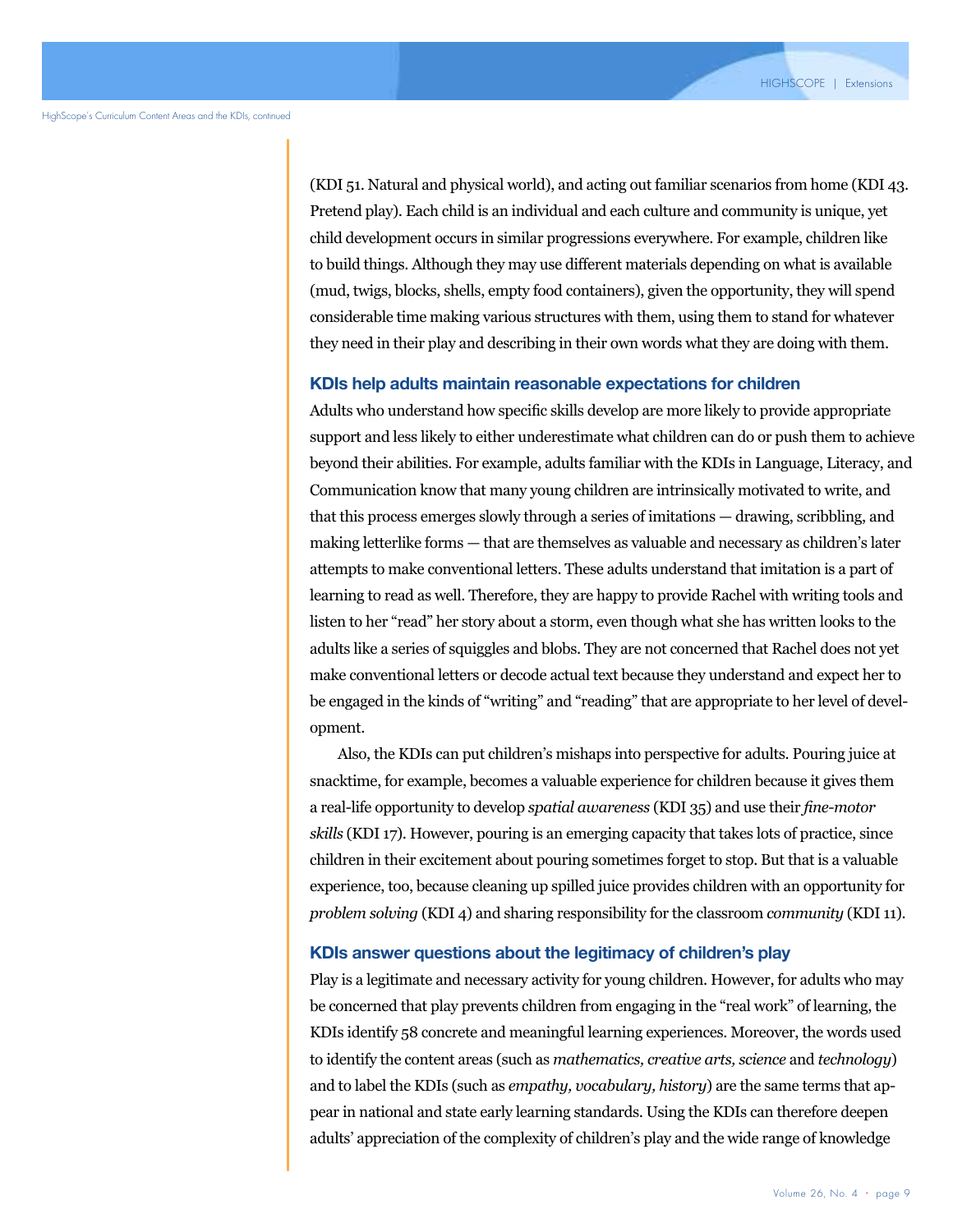(KDI 51. Natural and physical world), and acting out familiar scenarios from home (KDI 43. Pretend play). Each child is an individual and each culture and community is unique, yet child development occurs in similar progressions everywhere. For example, children like to build things. Although they may use different materials depending on what is available (mud, twigs, blocks, shells, empty food containers), given the opportunity, they will spend considerable time making various structures with them, using them to stand for whatever they need in their play and describing in their own words what they are doing with them.

#### **KDIs help adults maintain reasonable expectations for children**

Adults who understand how specific skills develop are more likely to provide appropriate support and less likely to either underestimate what children can do or push them to achieve beyond their abilities. For example, adults familiar with the KDIs in Language, Literacy, and Communication know that many young children are intrinsically motivated to write, and that this process emerges slowly through a series of imitations — drawing, scribbling, and making letterlike forms — that are themselves as valuable and necessary as children's later attempts to make conventional letters. These adults understand that imitation is a part of learning to read as well. Therefore, they are happy to provide Rachel with writing tools and listen to her "read" her story about a storm, even though what she has written looks to the adults like a series of squiggles and blobs. They are not concerned that Rachel does not yet make conventional letters or decode actual text because they understand and expect her to be engaged in the kinds of "writing" and "reading" that are appropriate to her level of development.

Also, the KDIs can put children's mishaps into perspective for adults. Pouring juice at snacktime, for example, becomes a valuable experience for children because it gives them a real-life opportunity to develop *spatial awareness* (KDI 35) and use their *fine-motor skills* (KDI 17). However, pouring is an emerging capacity that takes lots of practice, since children in their excitement about pouring sometimes forget to stop. But that is a valuable experience, too, because cleaning up spilled juice provides children with an opportunity for *problem solving* (KDI 4) and sharing responsibility for the classroom *community* (KDI 11).

#### **KDIs answer questions about the legitimacy of children's play**

Play is a legitimate and necessary activity for young children. However, for adults who may be concerned that play prevents children from engaging in the "real work" of learning, the KDIs identify 58 concrete and meaningful learning experiences. Moreover, the words used to identify the content areas (such as *mathematics, creative arts, science* and *technology*) and to label the KDIs (such as *empathy, vocabulary, history*) are the same terms that appear in national and state early learning standards. Using the KDIs can therefore deepen adults' appreciation of the complexity of children's play and the wide range of knowledge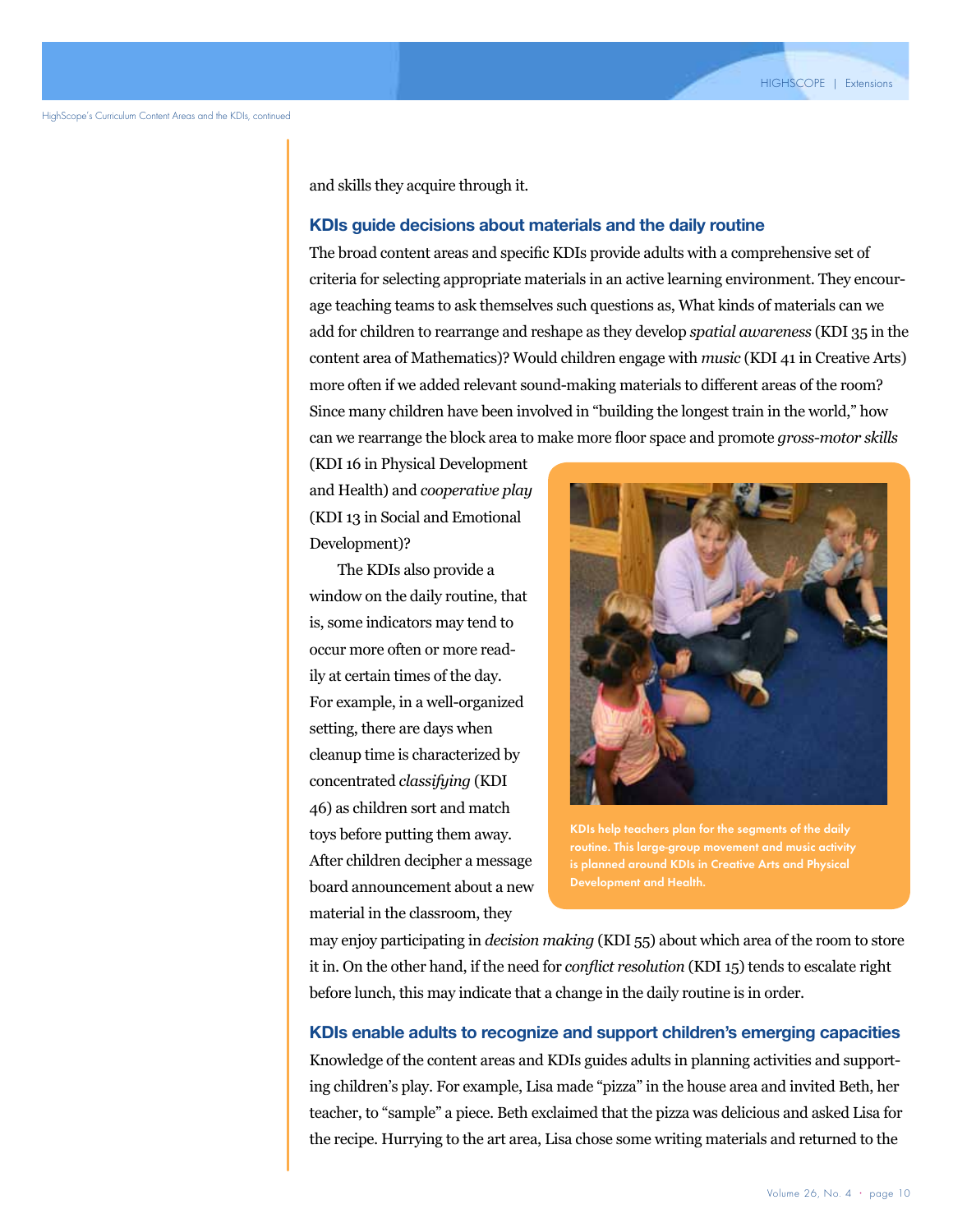and skills they acquire through it.

#### **KDIs guide decisions about materials and the daily routine**

The broad content areas and specific KDIs provide adults with a comprehensive set of criteria for selecting appropriate materials in an active learning environment. They encourage teaching teams to ask themselves such questions as, What kinds of materials can we add for children to rearrange and reshape as they develop *spatial awareness* (KDI 35 in the content area of Mathematics)? Would children engage with *music* (KDI 41 in Creative Arts) more often if we added relevant sound-making materials to different areas of the room? Since many children have been involved in "building the longest train in the world," how can we rearrange the block area to make more floor space and promote *gross-motor skills*

(KDI 16 in Physical Development and Health) and *cooperative play* (KDI 13 in Social and Emotional Development)?

The KDIs also provide a window on the daily routine, that is, some indicators may tend to occur more often or more readily at certain times of the day. For example, in a well-organized setting, there are days when cleanup time is characterized by concentrated *classifying* (KDI 46) as children sort and match toys before putting them away. After children decipher a message board announcement about a new material in the classroom, they



KDIs help teachers plan for the segments of the daily routine. This large-group movement and music activity Development and Health.

may enjoy participating in *decision making* (KDI 55) about which area of the room to store it in. On the other hand, if the need for *conflict resolution* (KDI 15) tends to escalate right before lunch, this may indicate that a change in the daily routine is in order.

#### **KDIs enable adults to recognize and support children's emerging capacities**

Knowledge of the content areas and KDIs guides adults in planning activities and supporting children's play. For example, Lisa made "pizza" in the house area and invited Beth, her teacher, to "sample" a piece. Beth exclaimed that the pizza was delicious and asked Lisa for the recipe. Hurrying to the art area, Lisa chose some writing materials and returned to the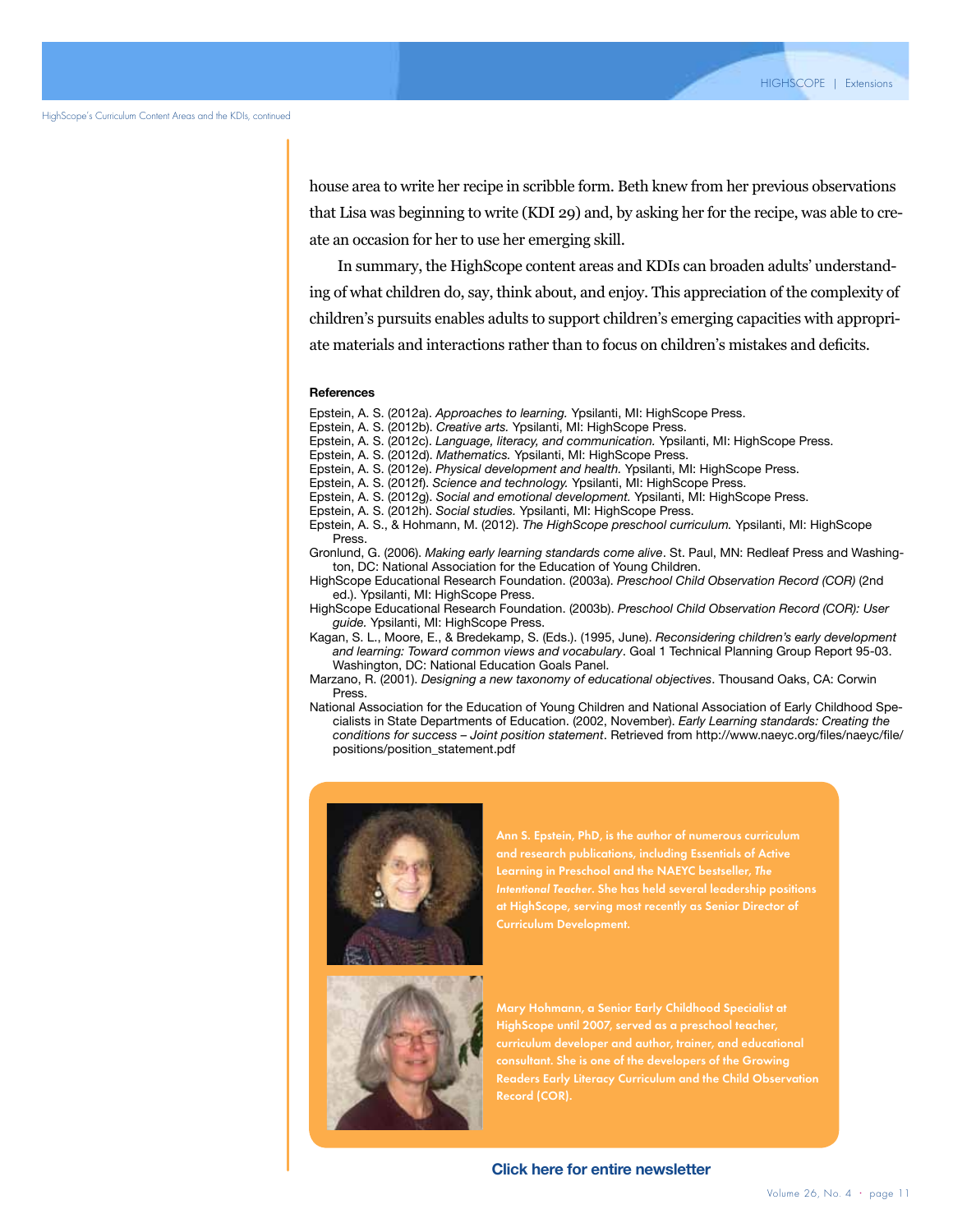house area to write her recipe in scribble form. Beth knew from her previous observations that Lisa was beginning to write (KDI 29) and, by asking her for the recipe, was able to create an occasion for her to use her emerging skill.

In summary, the HighScope content areas and KDIs can broaden adults' understanding of what children do, say, think about, and enjoy. This appreciation of the complexity of children's pursuits enables adults to support children's emerging capacities with appropriate materials and interactions rather than to focus on children's mistakes and deficits.

#### **References**

Epstein, A. S. (2012a). *Approaches to learning.* Ypsilanti, MI: HighScope Press.

- Epstein, A. S. (2012b). *Creative arts.* Ypsilanti, MI: HighScope Press.
- Epstein, A. S. (2012c). *Language, literacy, and communication.* Ypsilanti, MI: HighScope Press.

Epstein, A. S. (2012d). *Mathematics.* Ypsilanti, MI: HighScope Press.

Epstein, A. S. (2012e). *Physical development and health.* Ypsilanti, MI: HighScope Press.

Epstein, A. S. (2012f). *Science and technology.* Ypsilanti, MI: HighScope Press.

- Epstein, A. S. (2012g). *Social and emotional development.* Ypsilanti, MI: HighScope Press.
- Epstein, A. S. (2012h). *Social studies.* Ypsilanti, MI: HighScope Press.
- Epstein, A. S., & Hohmann, M. (2012). *The HighScope preschool curriculum.* Ypsilanti, MI: HighScope Press.
- Gronlund, G. (2006). *Making early learning standards come alive*. St. Paul, MN: Redleaf Press and Washington, DC: National Association for the Education of Young Children.
- HighScope Educational Research Foundation. (2003a). *Preschool Child Observation Record (COR)* (2nd ed.). Ypsilanti, MI: HighScope Press.
- HighScope Educational Research Foundation. (2003b). *Preschool Child Observation Record (COR): User guide.* Ypsilanti, MI: HighScope Press.
- Kagan, S. L., Moore, E., & Bredekamp, S. (Eds.). (1995, June). *Reconsidering children's early development and learning: Toward common views and vocabulary*. Goal 1 Technical Planning Group Report 95-03. Washington, DC: National Education Goals Panel.
- Marzano, R. (2001). *Designing a new taxonomy of educational objectives*. Thousand Oaks, CA: Corwin Press.
- National Association for the Education of Young Children and National Association of Early Childhood Specialists in State Departments of Education. (2002, November). *Early Learning standards: Creating the conditions for success – Joint position statement*. Retrieved from http://www.naeyc.org/files/naeyc/file/ positions/position\_statement.pdf



Ann S. Epstein, PhD, is the author of numerous curriculum and research publications, including Essentials of Active Learning in Preschool and the NAEYC bestseller, *The*  at HighScope, serving most recently as Senior Director of Curriculum Development.



Mary Hohmann, a Senior Early Childhood Specialist at HighScope until 2007, served as a preschool teacher, curriculum developer and author, trainer, and educational consultant. She is one of the developers of the Growing Record (COR).

**Click here for entire newsletter**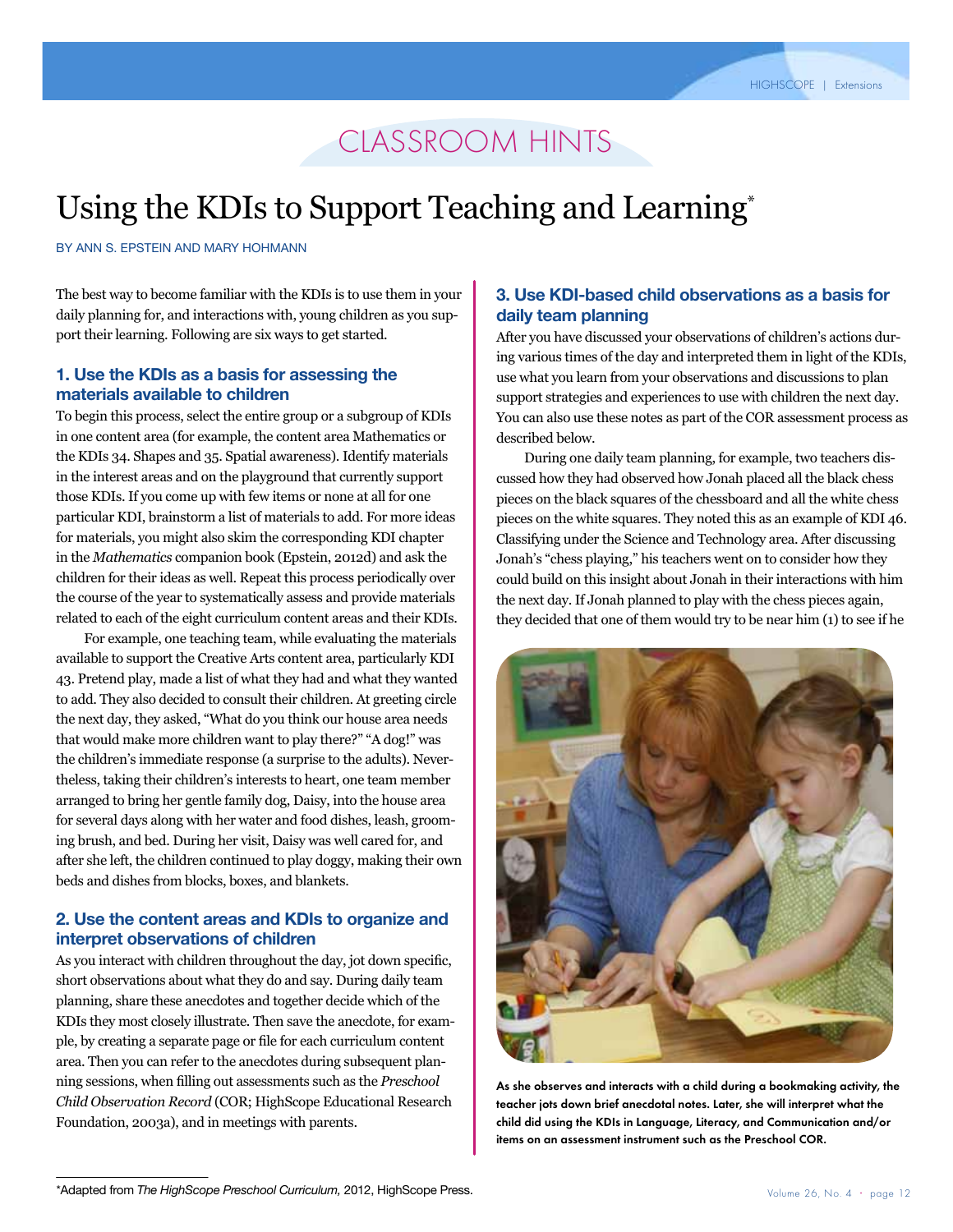### classroom hints

## Using the KDIs to Support Teaching and Learning<sup>\*</sup>

By Ann S. Epstein and Mary Hohmann

The best way to become familiar with the KDIs is to use them in your daily planning for, and interactions with, young children as you support their learning. Following are six ways to get started.

#### **1. Use the KDIs as a basis for assessing the materials available to children**

To begin this process, select the entire group or a subgroup of KDIs in one content area (for example, the content area Mathematics or the KDIs 34. Shapes and 35. Spatial awareness). Identify materials in the interest areas and on the playground that currently support those KDIs. If you come up with few items or none at all for one particular KDI, brainstorm a list of materials to add. For more ideas for materials, you might also skim the corresponding KDI chapter in the *Mathematics* companion book (Epstein, 2012d) and ask the children for their ideas as well. Repeat this process periodically over the course of the year to systematically assess and provide materials related to each of the eight curriculum content areas and their KDIs.

For example, one teaching team, while evaluating the materials available to support the Creative Arts content area, particularly KDI 43. Pretend play, made a list of what they had and what they wanted to add. They also decided to consult their children. At greeting circle the next day, they asked, "What do you think our house area needs that would make more children want to play there?" "A dog!" was the children's immediate response (a surprise to the adults). Nevertheless, taking their children's interests to heart, one team member arranged to bring her gentle family dog, Daisy, into the house area for several days along with her water and food dishes, leash, grooming brush, and bed. During her visit, Daisy was well cared for, and after she left, the children continued to play doggy, making their own beds and dishes from blocks, boxes, and blankets.

#### **2. Use the content areas and KDIs to organize and interpret observations of children**

As you interact with children throughout the day, jot down specific, short observations about what they do and say. During daily team planning, share these anecdotes and together decide which of the KDIs they most closely illustrate. Then save the anecdote, for example, by creating a separate page or file for each curriculum content area. Then you can refer to the anecdotes during subsequent planning sessions, when filling out assessments such as the *Preschool Child Observation Record* (COR; HighScope Educational Research Foundation, 2003a), and in meetings with parents.

### **3. Use KDI-based child observations as a basis for daily team planning**

After you have discussed your observations of children's actions during various times of the day and interpreted them in light of the KDIs, use what you learn from your observations and discussions to plan support strategies and experiences to use with children the next day. You can also use these notes as part of the COR assessment process as described below.

During one daily team planning, for example, two teachers discussed how they had observed how Jonah placed all the black chess pieces on the black squares of the chessboard and all the white chess pieces on the white squares. They noted this as an example of KDI 46. Classifying under the Science and Technology area. After discussing Jonah's "chess playing," his teachers went on to consider how they could build on this insight about Jonah in their interactions with him the next day. If Jonah planned to play with the chess pieces again, they decided that one of them would try to be near him (1) to see if he



As she observes and interacts with a child during a bookmaking activity, the teacher jots down brief anecdotal notes. Later, she will interpret what the child did using the KDIs in Language, Literacy, and Communication and/or items on an assessment instrument such as the Preschool COR.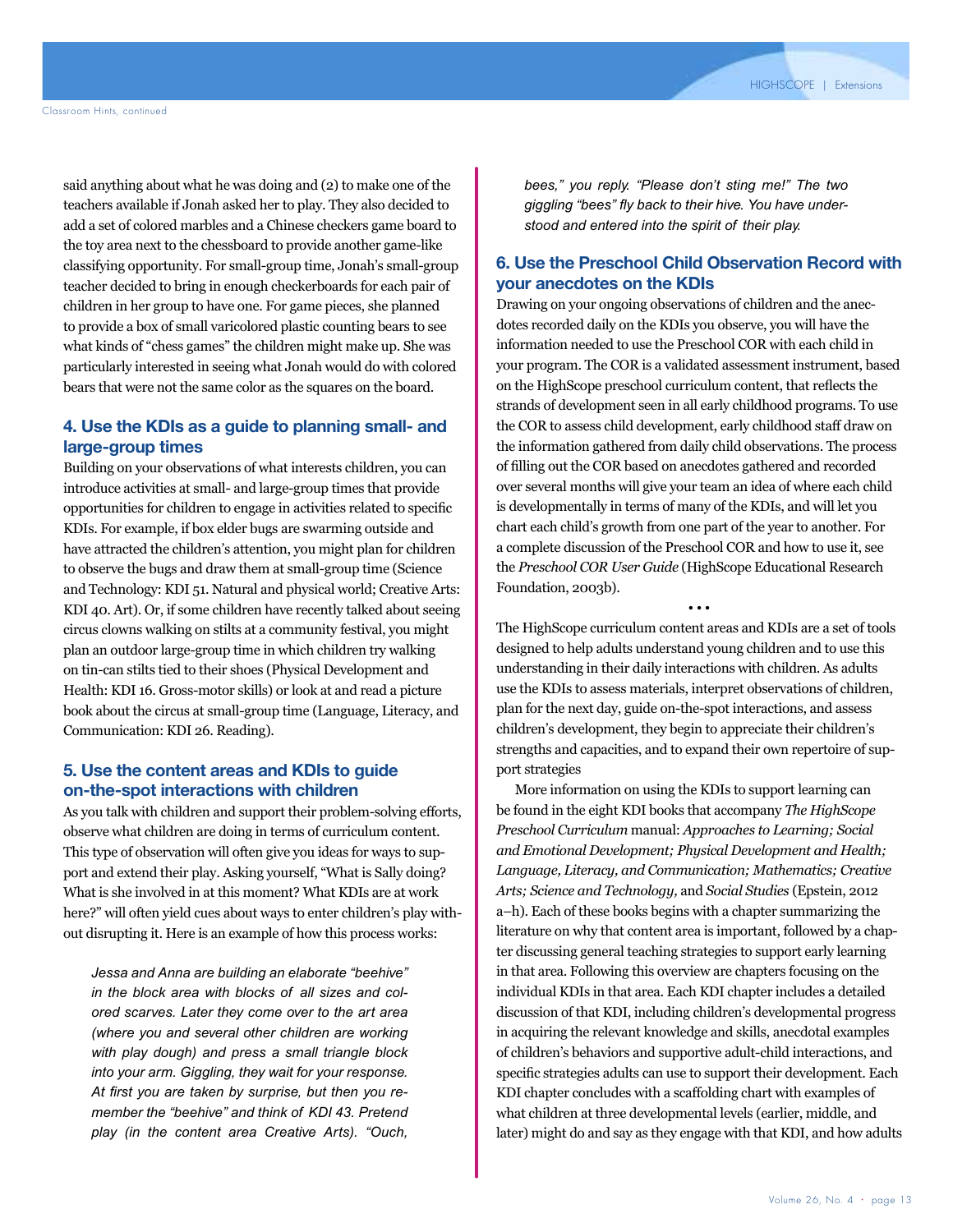said anything about what he was doing and (2) to make one of the teachers available if Jonah asked her to play. They also decided to add a set of colored marbles and a Chinese checkers game board to the toy area next to the chessboard to provide another game-like classifying opportunity. For small-group time, Jonah's small-group teacher decided to bring in enough checkerboards for each pair of children in her group to have one. For game pieces, she planned to provide a box of small varicolored plastic counting bears to see what kinds of "chess games" the children might make up. She was particularly interested in seeing what Jonah would do with colored bears that were not the same color as the squares on the board.

#### **4. Use the KDIs as a guide to planning small- and large-group times**

Building on your observations of what interests children, you can introduce activities at small- and large-group times that provide opportunities for children to engage in activities related to specific KDIs. For example, if box elder bugs are swarming outside and have attracted the children's attention, you might plan for children to observe the bugs and draw them at small-group time (Science and Technology: KDI 51. Natural and physical world; Creative Arts: KDI 40. Art). Or, if some children have recently talked about seeing circus clowns walking on stilts at a community festival, you might plan an outdoor large-group time in which children try walking on tin-can stilts tied to their shoes (Physical Development and Health: KDI 16. Gross-motor skills) or look at and read a picture book about the circus at small-group time (Language, Literacy, and Communication: KDI 26. Reading).

#### **5. Use the content areas and KDIs to guide on-the-spot interactions with children**

As you talk with children and support their problem-solving efforts, observe what children are doing in terms of curriculum content. This type of observation will often give you ideas for ways to support and extend their play. Asking yourself, "What is Sally doing? What is she involved in at this moment? What KDIs are at work here?" will often yield cues about ways to enter children's play without disrupting it. Here is an example of how this process works:

*Jessa and Anna are building an elaborate "beehive" in the block area with blocks of all sizes and colored scarves. Later they come over to the art area (where you and several other children are working with play dough) and press a small triangle block into your arm. Giggling, they wait for your response. At first you are taken by surprise, but then you remember the "beehive" and think of KDI 43. Pretend play (in the content area Creative Arts). "Ouch,* 

*bees," you reply. "Please don't sting me!" The two giggling "bees" fly back to their hive. You have understood and entered into the spirit of their play.*

#### **6. Use the Preschool Child Observation Record with your anecdotes on the KDIs**

Drawing on your ongoing observations of children and the anecdotes recorded daily on the KDIs you observe, you will have the information needed to use the Preschool COR with each child in your program. The COR is a validated assessment instrument, based on the HighScope preschool curriculum content, that reflects the strands of development seen in all early childhood programs. To use the COR to assess child development, early childhood staff draw on the information gathered from daily child observations. The process of filling out the COR based on anecdotes gathered and recorded over several months will give your team an idea of where each child is developmentally in terms of many of the KDIs, and will let you chart each child's growth from one part of the year to another. For a complete discussion of the Preschool COR and how to use it, see the *Preschool COR User Guide* (HighScope Educational Research Foundation, 2003b).

The HighScope curriculum content areas and KDIs are a set of tools designed to help adults understand young children and to use this understanding in their daily interactions with children. As adults use the KDIs to assess materials, interpret observations of children, plan for the next day, guide on-the-spot interactions, and assess children's development, they begin to appreciate their children's strengths and capacities, and to expand their own repertoire of support strategies

• • •

More information on using the KDIs to support learning can be found in the eight KDI books that accompany *The HighScope Preschool Curriculum* manual: *Approaches to Learning; Social and Emotional Development; Physical Development and Health; Language, Literacy, and Communication; Mathematics; Creative Arts; Science and Technology,* and *Social Studies* (Epstein, 2012 a–h). Each of these books begins with a chapter summarizing the literature on why that content area is important, followed by a chapter discussing general teaching strategies to support early learning in that area. Following this overview are chapters focusing on the individual KDIs in that area. Each KDI chapter includes a detailed discussion of that KDI, including children's developmental progress in acquiring the relevant knowledge and skills, anecdotal examples of children's behaviors and supportive adult-child interactions, and specific strategies adults can use to support their development. Each KDI chapter concludes with a scaffolding chart with examples of what children at three developmental levels (earlier, middle, and later) might do and say as they engage with that KDI, and how adults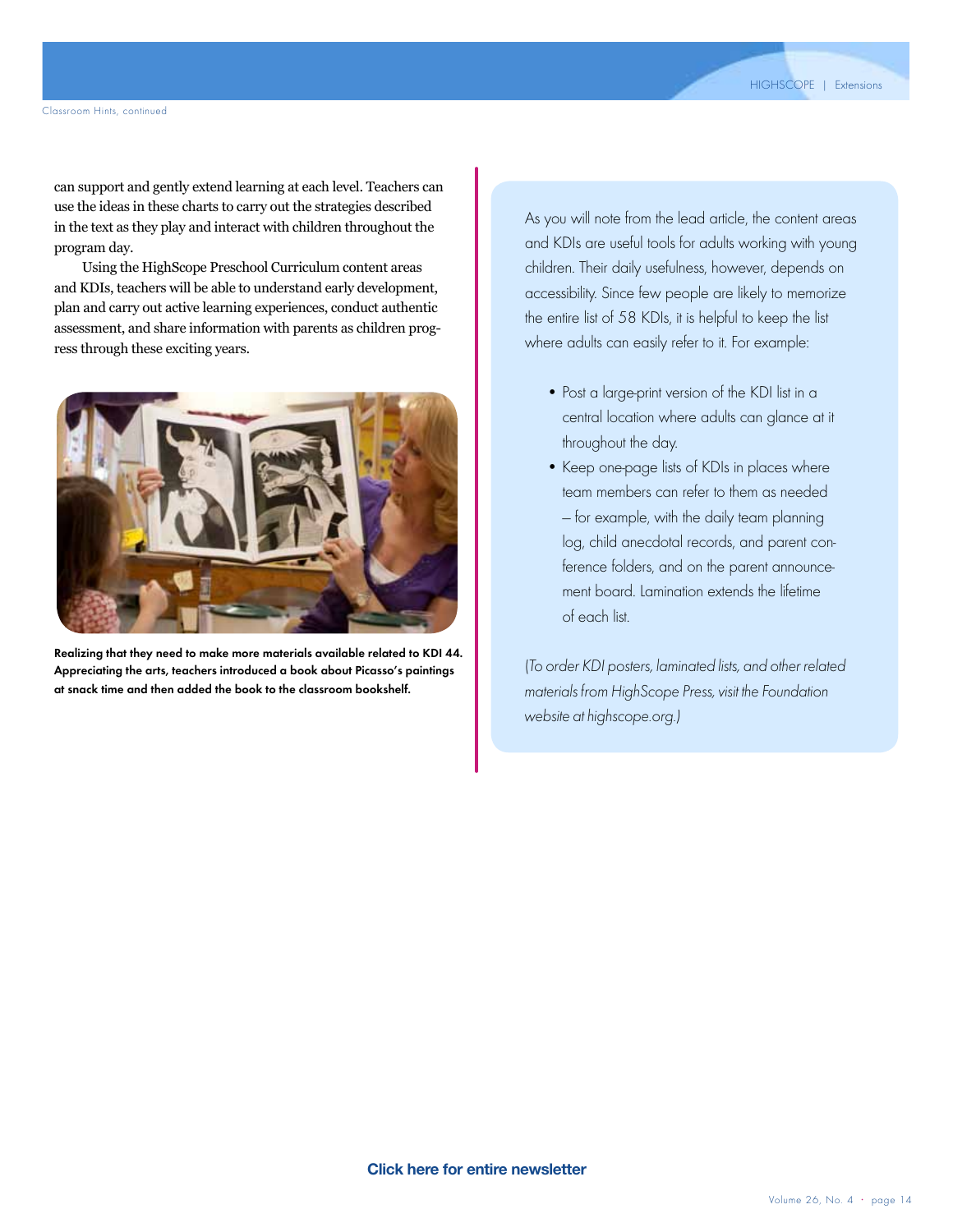can support and gently extend learning at each level. Teachers can use the ideas in these charts to carry out the strategies described in the text as they play and interact with children throughout the program day.

Using the HighScope Preschool Curriculum content areas and KDIs, teachers will be able to understand early development, plan and carry out active learning experiences, conduct authentic assessment, and share information with parents as children progress through these exciting years.



Realizing that they need to make more materials available related to KDI 44. Appreciating the arts, teachers introduced a book about Picasso's paintings at snack time and then added the book to the classroom bookshelf.

As you will note from the lead article, the content areas and KDIs are useful tools for adults working with young children. Their daily usefulness, however, depends on accessibility. Since few people are likely to memorize the entire list of 58 KDIs, it is helpful to keep the list where adults can easily refer to it. For example:

- Post a large-print version of the KDI list in a central location where adults can glance at it throughout the day.
- Keep one-page lists of KDIs in places where team members can refer to them as needed — for example, with the daily team planning log, child anecdotal records, and parent conference folders, and on the parent announcement board. Lamination extends the lifetime of each list.

(To order KDI posters, laminated lists, and other related materials from HighScope Press, visit the Foundation website at highscope.org.)